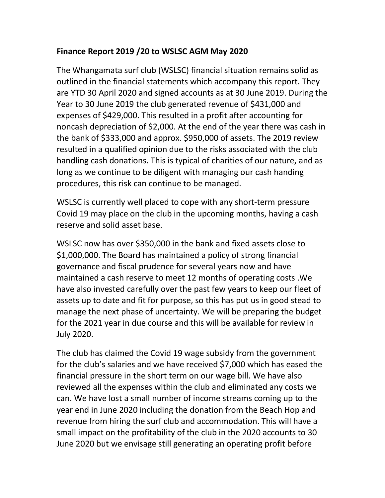## **Finance Report 2019 /20 to WSLSC AGM May 2020**

The Whangamata surf club (WSLSC) financial situation remains solid as outlined in the financial statements which accompany this report. They are YTD 30 April 2020 and signed accounts as at 30 June 2019. During the Year to 30 June 2019 the club generated revenue of \$431,000 and expenses of \$429,000. This resulted in a profit after accounting for noncash depreciation of \$2,000. At the end of the year there was cash in the bank of \$333,000 and approx. \$950,000 of assets. The 2019 review resulted in a qualified opinion due to the risks associated with the club handling cash donations. This is typical of charities of our nature, and as long as we continue to be diligent with managing our cash handing procedures, this risk can continue to be managed.

WSLSC is currently well placed to cope with any short-term pressure Covid 19 may place on the club in the upcoming months, having a cash reserve and solid asset base.

WSLSC now has over \$350,000 in the bank and fixed assets close to \$1,000,000. The Board has maintained a policy of strong financial governance and fiscal prudence for several years now and have maintained a cash reserve to meet 12 months of operating costs .We have also invested carefully over the past few years to keep our fleet of assets up to date and fit for purpose, so this has put us in good stead to manage the next phase of uncertainty. We will be preparing the budget for the 2021 year in due course and this will be available for review in July 2020.

The club has claimed the Covid 19 wage subsidy from the government for the club's salaries and we have received \$7,000 which has eased the financial pressure in the short term on our wage bill. We have also reviewed all the expenses within the club and eliminated any costs we can. We have lost a small number of income streams coming up to the year end in June 2020 including the donation from the Beach Hop and revenue from hiring the surf club and accommodation. This will have a small impact on the profitability of the club in the 2020 accounts to 30 June 2020 but we envisage still generating an operating profit before